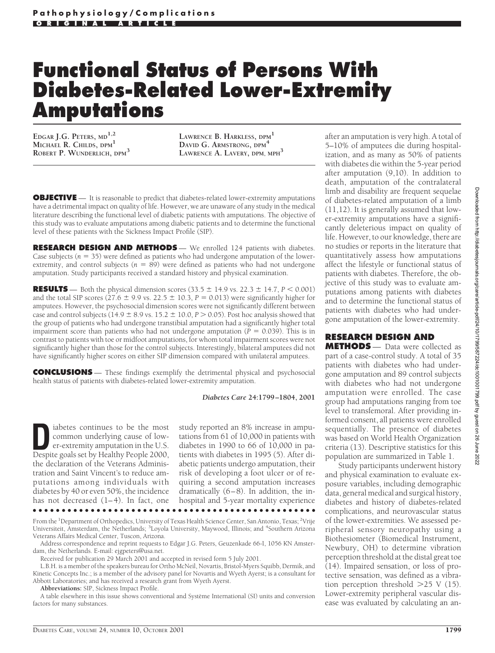# **Functional Status of Persons With Diabetes-Related Lower-Extremity Amputations**

**EDGAR J.G. PETERS, MD1,2 MICHAEL R. CHILDS, DPM<sup>1</sup> ROBERT P. WUNDERLICH, DPM<sup>3</sup>**

**LAWRENCE B. HARKLESS, DPM<sup>1</sup> DAVID G. ARMSTRONG, DPM<sup>4</sup> LAWRENCE A. LAVERY, DPM, MPH3**

**OBJECTIVE** — It is reasonable to predict that diabetes-related lower-extremity amputations have a detrimental impact on quality of life. However, we are unaware of any study in the medical literature describing the functional level of diabetic patients with amputations. The objective of this study was to evaluate amputations among diabetic patients and to determine the functional level of these patients with the Sickness Impact Profile (SIP).

**RESEARCH DESIGN AND METHODS** — We enrolled 124 patients with diabetes. Case subjects ( $n = 35$ ) were defined as patients who had undergone amputation of the lowerextremity, and control subjects  $(n = 89)$  were defined as patients who had not undergone amputation. Study participants received a standard history and physical examination.

**RESULTS** — Both the physical dimension scores  $(33.5 \pm 14.9 \text{ vs. } 22.3 \pm 14.7, P \le 0.001)$ and the total SIP scores  $(27.6 \pm 9.9 \text{ vs. } 22.5 \pm 10.3, P = 0.013)$  were significantly higher for amputees. However, the psychosocial dimension scores were not significantly different between case and control subjects ( $14.9 \pm 8.9$  vs.  $15.2 \pm 10.0$ ,  $P > 0.05$ ). Post hoc analysis showed that the group of patients who had undergone transtibial amputation had a significantly higher total impairment score than patients who had not undergone amputation  $(P = 0.039)$ . This is in contrast to patients with toe or midfoot amputations, for whom total impairment scores were not significantly higher than those for the control subjects. Interestingly, bilateral amputees did not have significantly higher scores on either SIP dimension compared with unilateral amputees.

**CONCLUSIONS** — These findings exemplify the detrimental physical and psychosocial health status of patients with diabetes-related lower-extremity amputation.

### *Diabetes Care* **24:1799–1804, 2001**

iabetes continues to be the most<br>
common underlying cause of low-<br>
er-extremity amputation in the U.S.<br>
Despite goals set by Healthy People 2000 common underlying cause of low-Despite goals set by Healthy People 2000, the declaration of the Veterans Administration and Saint Vincent's to reduce amputations among individuals with diabetes by 40 or even 50%, the incidence has not decreased (1–4). In fact, one

study reported an 8% increase in amputations from 61 of 10,000 in patients with diabetes in 1990 to 66 of 10,000 in patients with diabetes in 1995 (5). After diabetic patients undergo amputation, their risk of developing a foot ulcer or of requiring a second amputation increases dramatically (6–8). In addition, the inhospital and 5-year mortality experience

●●●●●●●●●●●●●●●●●●●●●●●●●●●●●●●●●●●●●●●●●●●●●●●●●

From the <sup>1</sup>Department of Orthopedics, University of Texas Health Science Center, San Antonio, Texas; <sup>2</sup>Vrije Universiteit, Amsterdam, the Netherlands; <sup>3</sup>Loyola University, Maywood, Illinois; and <sup>4</sup>Southern Arizona Veterans Affairs Medical Center, Tuscon, Arizona.

Address correspondence and reprint requests to Edgar J.G. Peters, Geuzenkade 66-I, 1056 KN Amsterdam, the Netherlands. E-mail: ejgpeters@usa.net.

Received for publication 29 March 2001 and accepted in revised form 5 July 2001.

L.B.H. is a member of the speakers bureau for Ortho McNeil, Novartis, Bristol-Myers Squibb, Dermik, and Kinetic Concepts Inc.; is a member of the advisory panel for Novartis and Wyeth Ayerst; is a consultant for Abbott Laboratories; and has received a research grant from Wyeth Ayerst.

**Abbreviations:** SIP, Sickness Impact Profile.

A table elsewhere in this issue shows conventional and Système International (SI) units and conversion factors for many substances.

after an amputation is very high. A total of 5–10% of amputees die during hospitalization, and as many as 50% of patients with diabetes die within the 5-year period after amputation (9,10). In addition to death, amputation of the contralateral limb and disability are frequent sequelae of diabetes-related amputation of a limb (11,12). It is generally assumed that lower-extremity amputations have a significantly deleterious impact on quality of life. However, to our knowledge, there are no studies or reports in the literature that quantitatively assess how amputations affect the lifestyle or functional status of patients with diabetes. Therefore, the objective of this study was to evaluate amputations among patients with diabetes and to determine the functional status of patients with diabetes who had undergone amputation of the lower-extremity.

## **RESEARCH DESIGN AND**

**METHODS** — Data were collected as part of a case-control study. A total of 35 patients with diabetes who had undergone amputation and 89 control subjects with diabetes who had not undergone amputation were enrolled. The case group had amputations ranging from toe level to transfemoral. After providing informed consent, all patients were enrolled sequentially. The presence of diabetes was based on World Health Organization criteria (13). Descriptive statistics for this population are summarized in Table 1.

Study participants underwent history and physical examination to evaluate exposure variables, including demographic data, general medical and surgical history, diabetes and history of diabetes-related complications, and neurovascular status of the lower-extremities. We assessed peripheral sensory neuropathy using a Biothesiometer (Biomedical Instrument, Newbury, OH) to determine vibration perception threshold at the distal great toe (14). Impaired sensation, or loss of protective sensation, was defined as a vibration perception threshold  $>25$  V (15). Lower-extremity peripheral vascular disease was evaluated by calculating an an-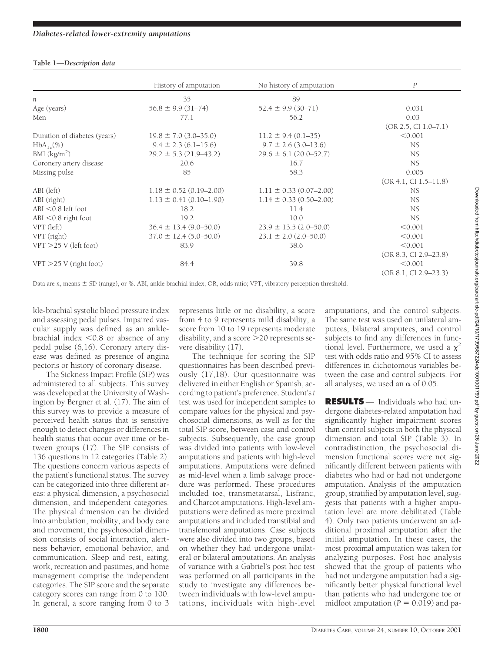## **Table 1—***Description data*

|                              | History of amputation         | No history of amputation    | $\boldsymbol{P}$        |  |
|------------------------------|-------------------------------|-----------------------------|-------------------------|--|
| $\boldsymbol{n}$             | 35                            | 89                          |                         |  |
| Age (years)                  | $56.8 \pm 9.9$ (31-74)        | $52.4 \pm 9.9$ (30-71)      | 0.031                   |  |
| Men                          | 77.1                          | 56.2                        | 0.03                    |  |
|                              |                               |                             | (OR 2.5, CI 1.0–7.1)    |  |
| Duration of diabetes (years) | $19.8 \pm 7.0$ (3.0–35.0)     | $11.2 \pm 9.4 (0.1 - 35)$   | < 0.001                 |  |
| $HbA_{1c}(\%)$               | $9.4 \pm 2.3$ (6.1–15.6)      | $9.7 \pm 2.6$ (3.0–13.6)    | NS.                     |  |
| BMI $(kg/m2)$                | $29.2 \pm 5.3$ (21.9–43.2)    | $29.6 \pm 6.1$ (20.0–52.7)  | NS.                     |  |
| Coronery artery disease      | 20.6                          | 16.7                        | NS.                     |  |
| Missing pulse                | 85                            | 58.3                        | 0.005                   |  |
|                              |                               |                             | (OR 4.1, CI 1.5–11.8)   |  |
| ABI (left)                   | $1.18 \pm 0.52$ (0.19–2.00)   | $1.11 \pm 0.33$ (0.07-2.00) | NS.                     |  |
| ABI (right)                  | $1.13 \pm 0.41 (0.10 - 1.90)$ | $1.14 \pm 0.33$ (0.50-2.00) | NS.                     |  |
| $ABI < 0.8$ left foot        | 18.2                          | 11.4                        | NS.                     |  |
| $ABI < 0.8$ right foot       | 19.2                          | 10.0                        | NS.                     |  |
| VPT (left)                   | $36.4 \pm 13.4 (9.0 - 50.0)$  | $23.9 \pm 13.5$ (2.0-50.0)  | < 0.001                 |  |
| VPT (right)                  | $37.0 \pm 12.4 (5.0 - 50.0)$  | $23.1 \pm 2.0$ (2.0–50.0)   | < 0.001                 |  |
| $VPT > 25$ V (left foot)     | 83.9                          | 38.6                        | < 0.001                 |  |
|                              |                               |                             | $(OR 8.3, CI 2.9-23.8)$ |  |
| $VPT > 25$ V (right foot)    | 84.4                          | 39.8                        | < 0.001                 |  |
|                              |                               |                             | $(OR 8.1, CI 2.9-23.3)$ |  |

Data are *n*, means  $\pm$  SD (range), or %. ABI, ankle brachial index; OR, odds ratio; VPT, vibratory perception threshold.

kle-brachial systolic blood pressure index and assessing pedal pulses. Impaired vascular supply was defined as an anklebrachial index  $<$  0.8 or absence of any pedal pulse (6,16). Coronary artery disease was defined as presence of angina pectoris or history of coronary disease.

The Sickness Impact Profile (SIP) was administered to all subjects. This survey was developed at the University of Washington by Bergner et al. (17). The aim of this survey was to provide a measure of perceived health status that is sensitive enough to detect changes or differences in health status that occur over time or between groups (17). The SIP consists of 136 questions in 12 categories (Table 2). The questions concern various aspects of the patient's functional status. The survey can be categorized into three different areas: a physical dimension, a psychosocial dimension, and independent categories. The physical dimension can be divided into ambulation, mobility, and body care and movement; the psychosocial dimension consists of social interaction, alertness behavior, emotional behavior, and communication. Sleep and rest, eating, work, recreation and pastimes, and home management comprise the independent categories. The SIP score and the separate category scores can range from 0 to 100. In general, a score ranging from 0 to 3

represents little or no disability, a score from 4 to 9 represents mild disability, a score from 10 to 19 represents moderate disability, and a score  $>$  20 represents severe disability (17).

The technique for scoring the SIP questionnaires has been described previously (17,18). Our questionnaire was delivered in either English or Spanish, according to patient's preference. Student's*t* test was used for independent samples to compare values for the physical and psychosocial dimensions, as well as for the total SIP score, between case and control subjects. Subsequently, the case group was divided into patients with low-level amputations and patients with high-level amputations. Amputations were defined as mid-level when a limb salvage procedure was performed. These procedures included toe, transmetatarsal, Lisfranc, and Charcot amputations. High-level amputations were defined as more proximal amputations and included transtibial and transfemoral amputations. Case subjects were also divided into two groups, based on whether they had undergone unilateral or bilateral amputations. An analysis of variance with a Gabriel's post hoc test was performed on all participants in the study to investigate any differences between individuals with low-level amputations, individuals with high-level

amputations, and the control subjects. The same test was used on unilateral amputees, bilateral amputees, and control subjects to find any differences in functional level. Furthermore, we used a  $\chi^2$ test with odds ratio and 95% CI to assess differences in dichotomous variables between the case and control subjects. For all analyses, we used an  $\alpha$  of 0.05.

**RESULTS** — Individuals who had undergone diabetes-related amputation had significantly higher impairment scores than control subjects in both the physical dimension and total SIP (Table 3). In contradistinction, the psychosocial dimension functional scores were not significantly different between patients with diabetes who had or had not undergone amputation. Analysis of the amputation group, stratified by amputation level, suggests that patients with a higher amputation level are more debilitated (Table 4). Only two patients underwent an additional proximal amputation after the initial amputation. In these cases, the most proximal amputation was taken for analyzing purposes. Post hoc analysis showed that the group of patients who had not undergone amputation had a significantly better physical functional level than patients who had undergone toe or midfoot amputation  $(P = 0.019)$  and pa-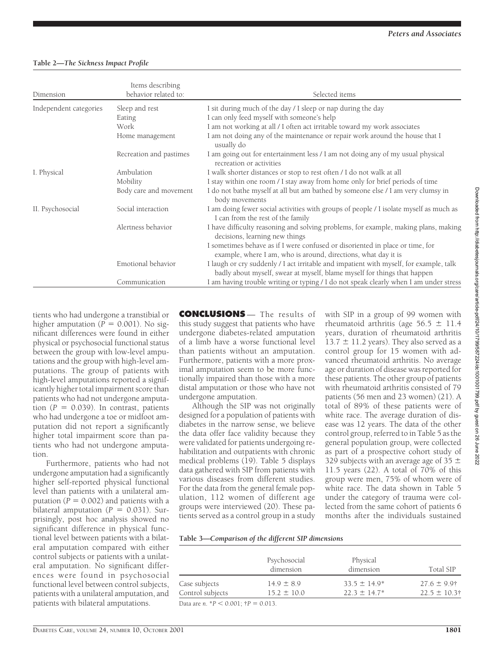# **Table 2—***The Sickness Impact Profile*

| Dimension              | Items describing<br>behavior related to: | Selected items                                                                                                                                                     |  |  |  |  |  |
|------------------------|------------------------------------------|--------------------------------------------------------------------------------------------------------------------------------------------------------------------|--|--|--|--|--|
| Independent categories | Sleep and rest                           | I sit during much of the day / I sleep or nap during the day                                                                                                       |  |  |  |  |  |
|                        | Eating                                   | I can only feed myself with someone's help                                                                                                                         |  |  |  |  |  |
|                        | Work                                     | I am not working at all / I often act irritable toward my work associates                                                                                          |  |  |  |  |  |
|                        | Home management                          | I am not doing any of the maintenance or repair work around the house that I<br>usually do                                                                         |  |  |  |  |  |
|                        | Recreation and pastimes                  | I am going out for entertainment less / I am not doing any of my usual physical<br>recreation or activities                                                        |  |  |  |  |  |
| I. Physical            | Ambulation                               | I walk shorter distances or stop to rest often / I do not walk at all                                                                                              |  |  |  |  |  |
|                        | Mobility                                 | I stay within one room / I stay away from home only for brief periods of time                                                                                      |  |  |  |  |  |
|                        | Body care and movement                   | I do not bathe myself at all but am bathed by someone else / I am very clumsy in<br>body movements                                                                 |  |  |  |  |  |
| II. Psychosocial       | Social interaction                       | I am doing fewer social activities with groups of people / I isolate myself as much as<br>I can from the rest of the family                                        |  |  |  |  |  |
|                        | Alertness behavior                       | I have difficulty reasoning and solving problems, for example, making plans, making<br>decisions, learning new things                                              |  |  |  |  |  |
|                        |                                          | I sometimes behave as if I were confused or disoriented in place or time, for<br>example, where I am, who is around, directions, what day it is                    |  |  |  |  |  |
|                        | Emotional behavior                       | I laugh or cry suddenly / I act irritable and impatient with myself, for example, talk<br>badly about myself, swear at myself, blame myself for things that happen |  |  |  |  |  |
|                        | Communication                            | I am having trouble writing or typing / I do not speak clearly when I am under stress                                                                              |  |  |  |  |  |

tients who had undergone a transtibial or higher amputation  $(P = 0.001)$ . No significant differences were found in either physical or psychosocial functional status between the group with low-level amputations and the group with high-level amputations. The group of patients with high-level amputations reported a significantly higher total impairment score than patients who had not undergone amputation  $(P = 0.039)$ . In contrast, patients who had undergone a toe or midfoot amputation did not report a significantly higher total impairment score than patients who had not undergone amputation.

Furthermore, patients who had not undergone amputation had a significantly higher self-reported physical functional level than patients with a unilateral amputation  $(P = 0.002)$  and patients with a bilateral amputation  $(P = 0.031)$ . Surprisingly, post hoc analysis showed no significant difference in physical functional level between patients with a bilateral amputation compared with either control subjects or patients with a unilateral amputation. No significant differences were found in psychosocial functional level between control subjects, patients with a unilateral amputation, and patients with bilateral amputations.

**CONCLUSIONS** — The results of this study suggest that patients who have undergone diabetes-related amputation of a limb have a worse functional level than patients without an amputation. Furthermore, patients with a more proximal amputation seem to be more functionally impaired than those with a more distal amputation or those who have not undergone amputation.

Although the SIP was not originally designed for a population of patients with diabetes in the narrow sense, we believe the data offer face validity because they were validated for patients undergoing rehabilitation and outpatients with chronic medical problems (19). Table 5 displays data gathered with SIP from patients with various diseases from different studies. For the data from the general female population, 112 women of different age groups were interviewed (20). These patients served as a control group in a study

with SIP in a group of 99 women with rheumatoid arthritis (age 56.5  $\pm$  11.4 years, duration of rheumatoid arthritis  $13.7 \pm 11.2$  years). They also served as a control group for 15 women with advanced rheumatoid arthritis. No average age or duration of disease was reported for these patients. The other group of patients with rheumatoid arthritis consisted of 79 patients (56 men and 23 women) (21). A total of 89% of these patients were of white race. The average duration of disease was 12 years. The data of the other control group, referred to in Table 5 as the general population group, were collected as part of a prospective cohort study of 329 subjects with an average age of 35  $\pm$ 11.5 years (22). A total of 70% of this group were men, 75% of whom were of white race. The data shown in Table 5 under the category of trauma were collected from the same cohort of patients 6 months after the individuals sustained

## **Table 3—***Comparison of the different SIP dimensions*

|                  | Psychosocial<br>dimension | Physical<br>dimension | Total SIP         |  |  |
|------------------|---------------------------|-----------------------|-------------------|--|--|
| Case subjects    | $14.9 \pm 8.9$            | $33.5 \pm 14.9^*$     | $27.6 \pm 9.9$ †  |  |  |
| Control subjects | $15.2 \pm 10.0$           | $22.3 \pm 14.7^*$     | $22.5 \pm 10.3$ † |  |  |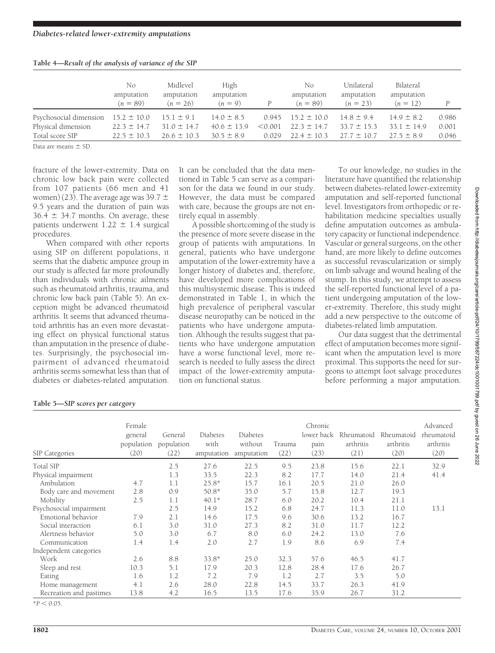| Table 4-Result of the analysis of variance of the SIP |  |  |  |  |  |
|-------------------------------------------------------|--|--|--|--|--|
|-------------------------------------------------------|--|--|--|--|--|

|                                        | No<br>amputation<br>$(n = 89)$ | Midlevel<br>amputation<br>$(n = 26)$ | High<br>amputation<br>$(n = 9)$ |         | No.<br>amputation<br>$(n = 89)$ | Unilateral<br>amputation<br>$(n = 23)$ | Bilateral<br>amputation<br>$(n = 12)$ |       |
|----------------------------------------|--------------------------------|--------------------------------------|---------------------------------|---------|---------------------------------|----------------------------------------|---------------------------------------|-------|
| Psychosocial dimension $15.2 \pm 10.0$ |                                | $15.1 \pm 9.1$                       | $14.0 \pm 8.5$                  |         | $0.945$ 15.2 $\pm$ 10.0         | $14.8 \pm 9.4$                         | $14.9 \pm 8.2$                        | 0.986 |
| Physical dimension                     | $22.3 \pm 14.7$                | $31.0 \pm 14.7$                      | $40.6 \pm 13.9$                 | < 0.001 | $22.3 \pm 14.7$                 | $33.7 \pm 15.3$                        | $331 + 149$                           | 0.001 |
| Total score SIP                        | $22.5 \pm 10.3$                | $26.6 \pm 10.3$                      | $30.5 \pm 8.9$                  | 0.029   | $22.4 \pm 10.3$                 | $27.7 \pm 10.7$                        | $27.5 \pm 8.9$                        | 0.046 |

Data are means  $\pm$  SD.

fracture of the lower-extremity. Data on chronic low back pain were collected from 107 patients (66 men and 41 women) (23). The average age was 39.7  $\pm$ 9.5 years and the duration of pain was  $36.4 \pm 34.7$  months. On average, these patients underwent  $1.22 \pm 1.4$  surgical procedures.

When compared with other reports using SIP on different populations, it seems that the diabetic amputee group in our study is affected far more profoundly than individuals with chronic ailments such as rheumatoid arthritis, trauma, and chronic low back pain (Table 5). An exception might be advanced rheumatoid arthritis. It seems that advanced rheumatoid arthritis has an even more devastating effect on physical functional status than amputation in the presence of diabetes. Surprisingly, the psychosocial impairment of advanced rheumatoid arthritis seems somewhat less than that of diabetes or diabetes-related amputation.

It can be concluded that the data mentioned in Table 5 can serve as a comparison for the data we found in our study. However, the data must be compared with care, because the groups are not entirely equal in assembly.

A possible shortcoming of the study is the presence of more severe disease in the group of patients with amputations. In general, patients who have undergone amputation of the lower-extremity have a longer history of diabetes and, therefore, have developed more complications of this multisystemic disease. This is indeed demonstrated in Table 1, in which the high prevalence of peripheral vascular disease neuropathy can be noticed in the patients who have undergone amputation. Although the results suggest that patients who have undergone amputation have a worse functional level, more research is needed to fully assess the direct impact of the lower-extremity amputation on functional status.

To our knowledge, no studies in the literature have quantified the relationship between diabetes-related lower-extremity amputation and self-reported functional level. Investigators from orthopedic or rehabilitation medicine specialties usually define amputation outcomes as ambulatory capacity or functional independence. Vascular or general surgeons, on the other hand, are more likely to define outcomes as successful revascularization or simply on limb salvage and wound healing of the stump. In this study, we attempt to assess the self-reported functional level of a patient undergoing amputation of the lower-extremity. Therefore, this study might add a new perspective to the outcome of diabetes-related limb amputation.

Our data suggest that the detrimental effect of amputation becomes more significant when the amputation level is more proximal. This supports the need for surgeons to attempt foot salvage procedures before performing a major amputation.

### **Table 5—***SIP scores per category*

| SIP Categories          | Female<br>general<br>population<br>(20) | General<br>population<br>(22) | Diabetes<br>with<br>amputation | Diabetes<br>without<br>amputation | Trauma<br>(22) | Chronic<br>lower back<br>pain<br>(23) | Rheumatoid<br>arthritis<br>(21) | Rheumatoid<br>arthritis<br>(20) | Advanced<br>rheumatoid<br>arthritis<br>(20) |
|-------------------------|-----------------------------------------|-------------------------------|--------------------------------|-----------------------------------|----------------|---------------------------------------|---------------------------------|---------------------------------|---------------------------------------------|
| Total SIP               |                                         | 2.5                           | 27.6                           | 22.5                              | 9.5            | 23.8                                  | 15.6                            | 22.1                            | 32.9                                        |
| Physical impairment     |                                         | 1.3                           | 33.5                           | 22.3                              | 8.2            | 17.7                                  | 14.0                            | 21.4                            | 41.4                                        |
| Ambulation              | 4.7                                     | 1.1                           | $25.8*$                        | 15.7                              | 16.1           | 20.5                                  | 21.0                            | 26.0                            |                                             |
| Body care and movement  | 2.8                                     | 0.9                           | $50.8*$                        | 35.0                              | 5.7            | 15.8                                  | 12.7                            | 19.3                            |                                             |
| Mobility                | 2.5                                     | 1.1                           | $40.1*$                        | 28.7                              | 6.0            | 20.2                                  | 10.4                            | 21.1                            |                                             |
| Psychosocial impairment |                                         | 2.5                           | 14.9                           | 15.2                              | 6.8            | 24.7                                  | 11.3                            | 11.0                            | 13.1                                        |
| Emotional behavior      | 7.9                                     | 2.1                           | 14.6                           | 17.5                              | 9.6            | 30.6                                  | 13.2                            | 16.7                            |                                             |
| Social interaction      | 6.1                                     | 3.0                           | 31.0                           | 27.3                              | 8.2            | 31.0                                  | 11.7                            | 12.2                            |                                             |
| Alertness behavior      | 5.0                                     | 3.0                           | 6.7                            | 8.0                               | 6.0            | 24.2                                  | 13.0                            | 7.6                             |                                             |
| Communication           | 1.4                                     | 1.4                           | 2.0                            | 2.7                               | 1.9            | 8.6                                   | 6.9                             | 7.4                             |                                             |
| Independent categories  |                                         |                               |                                |                                   |                |                                       |                                 |                                 |                                             |
| Work                    | 2.6                                     | 8.8                           | $33.8*$                        | 25.0                              | 32.3           | 57.6                                  | 46.5                            | 41.7                            |                                             |
| Sleep and rest          | 10.3                                    | 5.1                           | 17.9                           | 20.3                              | 12.8           | 28.4                                  | 17.6                            | 26.7                            |                                             |
| Eating                  | 1.6                                     | 1.2                           | 7.2                            | 7.9                               | 1.2            | 2.7                                   | 3.5                             | 5.0                             |                                             |
| Home management         | 4.1                                     | 2.6                           | 28.0                           | 22.8                              | 14.5           | 33.7                                  | 26.3                            | 41.9                            |                                             |
| Recreation and pastimes | 13.8                                    | 4.2                           | 16.5                           | 13.5                              | 17.6           | 35.9                                  | 26.7                            | 31.2                            |                                             |

 $*P < 0.05$ .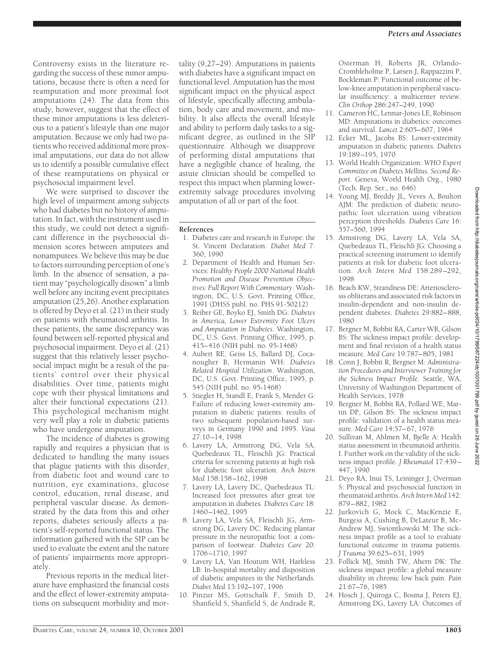Controversy exists in the literature regarding the success of these minor amputations, because there is often a need for reamputation and more proximal foot amputations (24). The data from this study, however, suggest that the effect of these minor amputations is less deleterious to a patient's lifestyle than one major amputation. Because we only had two patients who received additional more proximal amputations, our data do not allow us to identify a possible cumulative effect of these reamputations on physical or psychosocial impairment level.

We were surprised to discover the high level of impairment among subjects who had diabetes but no history of amputation. In fact, with the instrument used in this study, we could not detect a significant difference in the psychosocial dimension scores between amputees and nonamputees. We believe this may be due to factors surrounding perception of one's limb. In the absence of sensation, a patient may "psychologically disown" a limb well before any inciting event precipitates amputation (25,26). Another explanation is offered by Deyo et al. (21) in their study on patients with rheumatoid arthritis. In these patients, the same discrepancy was found between self-reported physical and psychosocial impairment. Deyo et al. (21) suggest that this relatively lesser psychosocial impact might be a result of the patients' control over their physical disabilities. Over time, patients might cope with their physical limitations and alter their functional expectations (21). This psychological mechanism might very well play a role in diabetic patients who have undergone amputation.

The incidence of diabetes is growing rapidly and requires a physician that is dedicated to handling the many issues that plague patients with this disorder, from diabetic foot and wound care to nutrition, eye examinations, glucose control, education, renal disease, and peripheral vascular disease. As demonstrated by the data from this and other reports, diabetes seriously affects a patient's self-reported functional status. The information gathered with the SIP can be used to evaluate the extent and the nature of patients' impairments more appropriately.

Previous reports in the medical literature have emphasized the financial costs and the effect of lower-extremity amputations on subsequent morbidity and mortality (9,27–29). Amputations in patients with diabetes have a significant impact on functional level. Amputation has the most significant impact on the physical aspect of lifestyle, specifically affecting ambulation, body care and movement, and mobility. It also affects the overall lifestyle and ability to perform daily tasks to a significant degree, as outlined in the SIP questionnaire. Although we disapprove of performing distal amputations that have a negligible chance of healing, the astute clinician should be compelled to respect this impact when planning lowerextremity salvage procedures involving amputation of all or part of the foot.

## **References**

- 1. Diabetes care and research in Europe: the St. Vincent Declaration. *Diabet Med* 7: 360, 1990
- 2. Department of Health and Human Services: *Healthy People 2000 National Health Promotion and Disease Prevention Objectives: Full Report With Commentary*. Washington, DC, U.S. Govt. Printing Office, 1991 (DHSS publ. no. PHS 91-50212)
- 3. Reiber GE, Boyko EJ, Smith DG: *Diabetes in America, Lower Extremity Foot Ulcers and Amputation in Diabetes*. Washington, DC, U.S. Govt. Printing Office, 1995, p. 415–416 (NIH publ. no. 95-1468)
- 4. Aubert RE, Geiss LS, Ballard DJ, Cocanougher B, Hermanin WH: *Diabetes Related Hospital Utilization*. Washington, DC, U.S. Govt. Printing Office, 1995, p. 545 (NIH publ. no. 95-1468)
- 5. Stiegler H, Standl E, Frank S, Mender G: Failure of reducing lower-extremity amputation in diabetic patients: results of two subsequent population-based surveys in Germany 1990 and 1995. *Vasa* 27:10–14, 1998
- 6. Lavery LA, Armstrong DG, Vela SA, Quebedeaux TL, Fleischli JG: Practical criteria for screening patients at high risk for diabetic foot ulceration. *Arch Intern Med* 158:158–162, 1998
- 7. Lavery LA, Lavery DC, Quebedeaux TL: Increased foot pressures after great toe amputation in diabetes. *Diabetes Care* 18: 1460–1462, 1995
- 8. Lavery LA, Vela SA, Fleischli JG, Armstrong DG, Lavery DC: Reducing plantar pressure in the neuropathic foot: a comparison of footwear. *Diabetes Care* 20: 1706–1710, 1997
- 9. Lavery LA, Van Houtum WH, Harkless LB: In-hospital mortality and disposition of diabetic amputees in the Netherlands. *Diabet Med* 13:192–197, 1996
- 10. Pinzur MS, Gottschalk F, Smith D, Shanfield S, Shanfield S, de Andrade R,

Osterman H, Roberts JR, Orlando-Crombleholme P, Larsen J, Rappazzini P, Bockleman P: Functional outcome of below-knee amputation in peripheral vascular insufficiency: a multicenter review. *Clin Orthop* 286:247–249, 1990

- 11. Cameron HC, Lennar-Jones LE, Robinson MD: Amputations in diabetics: outcomes and survival. *Lancet* 2:605–607, 1964
- 12. Ecker ML, Jacobs BS: Lower-extremity amputation in diabetic patients. *Diabetes* 19:189–195, 1970
- 13. World Health Organization: *WHO Expert Committee on Diabetes Mellitus. Second Report*. Geneva, World Health Org., 1980 (Tech. Rep. Ser., no. 646)
- 14. Young MJ, Breddy JL, Veves A, Boulton AJM: The prediction of diabetic neuropathic foot ulceration using vibration perception thresholds. *Diabetes Care* 16: 557–560, 1994
- 15. Armstrong DG, Lavery LA, Vela SA, Quebedeaux TL, Fleischli JG: Choosing a practical screening instrument to identify patients at risk for diabetic foot ulceration. *Arch Intern Med* 158:289 –292, 1998
- 16. Beach KW, Strandness DE: Arteriosclerosis obliterans and associated risk factors in insulin-dependent and non-insulin dependent diabetes. *Diabetes* 29:882–888, 1980
- 17. Bergner M, Bobbit RA, Carter WB, Gilson BS: The sickness impact profile: development and final revision of a health status measure. *Med Care* 19:787–805, 1981
- 18. Conn J, Bobbit R, Bergner M: *Administration Procedures and Interviewer Training for the Sickness Impact Profile*. Seattle, WA, University of Washington Department of Health Services, 1978
- 19. Bergner M, Bobbit RA, Pollard WE, Martin DP, Gilson BS: The sickness impact profile: validation of a health status measure. *Med Care* 14:57–67, 1976
- 20. Sullivan M, Ahlmen M, Bjelle A: Health status assessment in rheumatoid arthritis. I. Further work on the validity of the sickness impact profile. *J Rheumatol* 17:439– 447, 1990
- 21. Deyo RA, Inui TS, Leininger J, Overman S: Physical and psychosocial function in rheumatoid arthritis. *Arch Intern Med* 142: 879–882, 1982
- 22. Jurkovich G, Mock C, MacKenzie E, Burgess A, Cushing B, DeLateur B, Mc-Andrew MJ, Swiontkowski M: The sickness impact profile as a tool to evaluate functional outcome in trauma patients. *J Trauma* 39:625–631, 1995
- 23. Follick MJ, Smith TW, Ahern DK: The sickness impact profile: a global measure disability in chronic low back pain. *Pain* 21:67–76, 1985
- 24. Hosch J, Quiroga C, Bosma J, Peters EJ, Armstrong DG, Lavery LA: Outcomes of